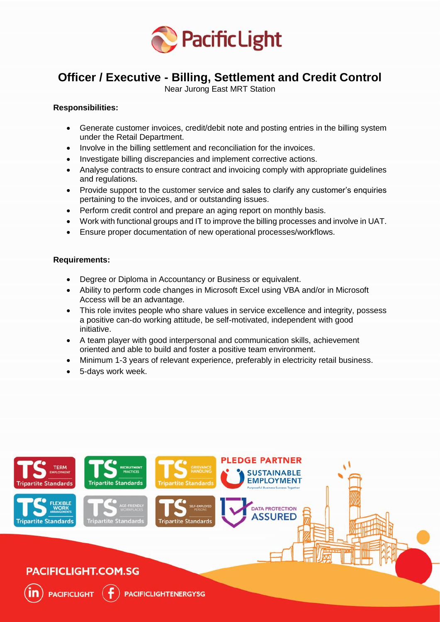

# **Officer / Executive - Billing, Settlement and Credit Control**

Near Jurong East MRT Station

## **Responsibilities:**

- Generate customer invoices, credit/debit note and posting entries in the billing system under the Retail Department.
- Involve in the billing settlement and reconciliation for the invoices.
- Investigate billing discrepancies and implement corrective actions.
- Analyse contracts to ensure contract and invoicing comply with appropriate guidelines and regulations.
- Provide support to the customer service and sales to clarify any customer's enquiries pertaining to the invoices, and or outstanding issues.
- Perform credit control and prepare an aging report on monthly basis.
- Work with functional groups and IT to improve the billing processes and involve in UAT.
- Ensure proper documentation of new operational processes/workflows.

### **Requirements:**

- Degree or Diploma in Accountancy or Business or equivalent.
- Ability to perform code changes in Microsoft Excel using VBA and/or in Microsoft Access will be an advantage.
- This role invites people who share values in service excellence and integrity, possess a positive can-do working attitude, be self-motivated, independent with good initiative.
- A team player with good interpersonal and communication skills, achievement oriented and able to build and foster a positive team environment.
- Minimum 1-3 years of relevant experience, preferably in electricity retail business.
- 5-days work week.